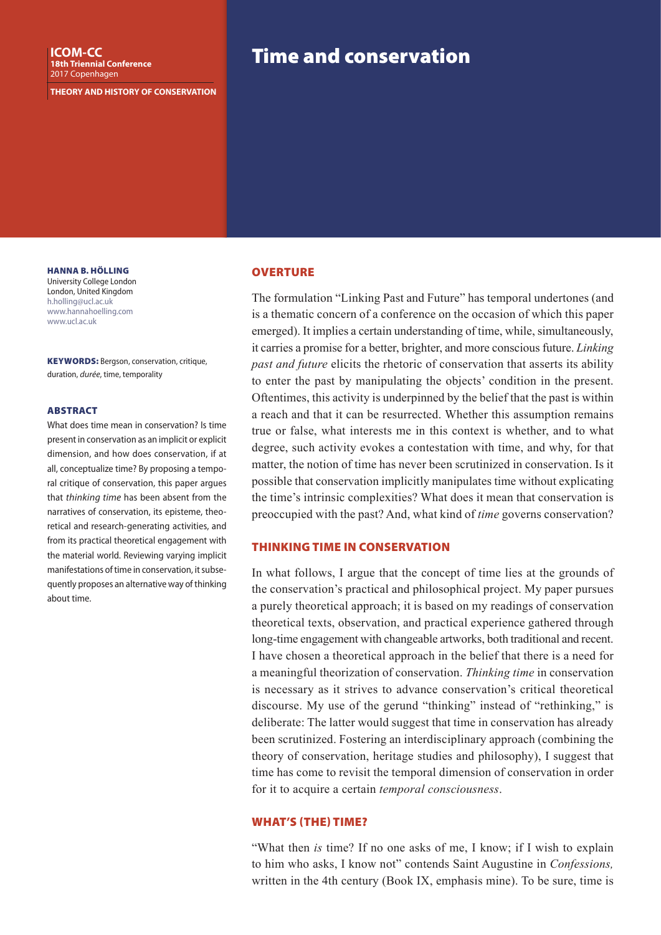**THEORY AND HISTORY OF CONSERVATION**

HANNA B. HÖLLING University College London London, United Kingdom h.holling@ucl.ac.uk www.hannahoelling.com www.ucl.ac.uk

KEYWORDS: Bergson, conservation, critique, duration, *durée*, time, temporality

#### **ARSTRACT**

What does time mean in conservation? Is time present in conservation as an implicit or explicit dimension, and how does conservation, if at all, conceptualize time? By proposing a temporal critique of conservation, this paper argues that *thinking time* has been absent from the narratives of conservation, its episteme, theoretical and research-generating activities, and from its practical theoretical engagement with the material world. Reviewing varying implicit manifestations of time in conservation, it subsequently proposes an alternative way of thinking about time.

### **OVERTURE**

The formulation "Linking Past and Future" has temporal undertones (and is a thematic concern of a conference on the occasion of which this paper emerged). It implies a certain understanding of time, while, simultaneously, it carries a promise for a better, brighter, and more conscious future. *Linking past and future* elicits the rhetoric of conservation that asserts its ability to enter the past by manipulating the objects' condition in the present. Oftentimes, this activity is underpinned by the belief that the past is within a reach and that it can be resurrected. Whether this assumption remains true or false, what interests me in this context is whether, and to what degree, such activity evokes a contestation with time, and why, for that matter, the notion of time has never been scrutinized in conservation. Is it possible that conservation implicitly manipulates time without explicating the time's intrinsic complexities? What does it mean that conservation is preoccupied with the past? And, what kind of *time* governs conservation?

### THINKING TIME IN CONSERVATION

In what follows, I argue that the concept of time lies at the grounds of the conservation's practical and philosophical project. My paper pursues a purely theoretical approach; it is based on my readings of conservation theoretical texts, observation, and practical experience gathered through long-time engagement with changeable artworks, both traditional and recent. I have chosen a theoretical approach in the belief that there is a need for a meaningful theorization of conservation. *Thinking time* in conservation is necessary as it strives to advance conservation's critical theoretical discourse. My use of the gerund "thinking" instead of "rethinking," is deliberate: The latter would suggest that time in conservation has already been scrutinized. Fostering an interdisciplinary approach (combining the theory of conservation, heritage studies and philosophy), I suggest that time has come to revisit the temporal dimension of conservation in order for it to acquire a certain *temporal consciousness*.

#### WHAT'S (THE) TIME?

"What then *is* time? If no one asks of me, I know; if I wish to explain to him who asks, I know not" contends Saint Augustine in *Confessions,* written in the 4th century (Book IX, emphasis mine). To be sure, time is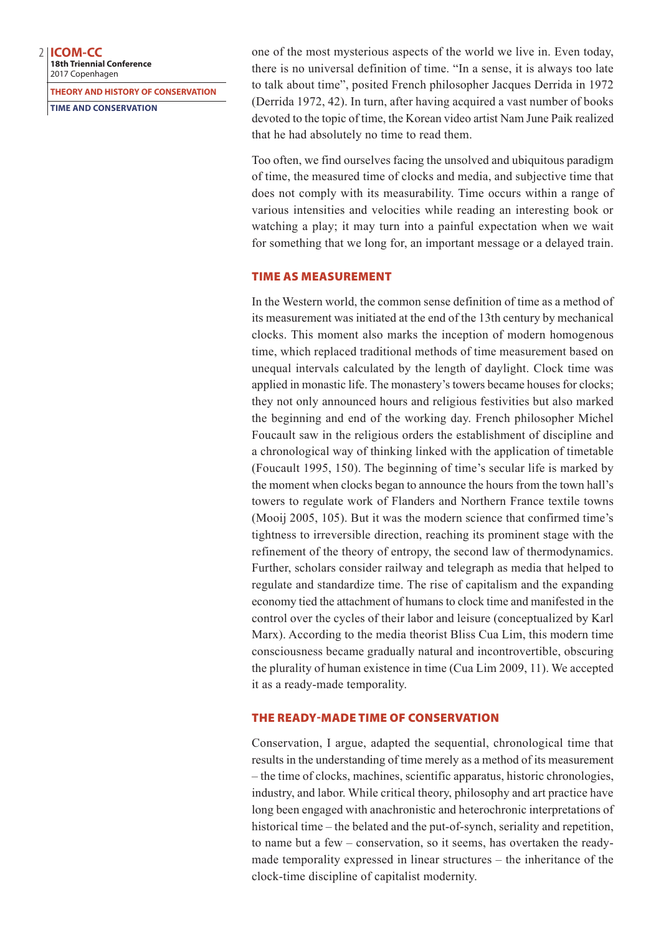**18th Triennial Conference** 2017 Copenhagen

**THEORY AND HISTORY OF CONSERVATION**

**TIME AND CONSERVATION**

one of the most mysterious aspects of the world we live in. Even today, there is no universal definition of time. "In a sense, it is always too late to talk about time", posited French philosopher Jacques Derrida in 1972 (Derrida 1972, 42). In turn, after having acquired a vast number of books devoted to the topic of time, the Korean video artist Nam June Paik realized that he had absolutely no time to read them.

Too often, we find ourselves facing the unsolved and ubiquitous paradigm of time, the measured time of clocks and media, and subjective time that does not comply with its measurability. Time occurs within a range of various intensities and velocities while reading an interesting book or watching a play; it may turn into a painful expectation when we wait for something that we long for, an important message or a delayed train.

# TIME AS MEASUREMENT

In the Western world, the common sense definition of time as a method of its measurement was initiated at the end of the 13th century by mechanical clocks. This moment also marks the inception of modern homogenous time, which replaced traditional methods of time measurement based on unequal intervals calculated by the length of daylight. Clock time was applied in monastic life. The monastery's towers became houses for clocks; they not only announced hours and religious festivities but also marked the beginning and end of the working day. French philosopher Michel Foucault saw in the religious orders the establishment of discipline and a chronological way of thinking linked with the application of timetable (Foucault 1995, 150). The beginning of time's secular life is marked by the moment when clocks began to announce the hours from the town hall's towers to regulate work of Flanders and Northern France textile towns (Mooij 2005, 105). But it was the modern science that confirmed time's tightness to irreversible direction, reaching its prominent stage with the refinement of the theory of entropy, the second law of thermodynamics. Further, scholars consider railway and telegraph as media that helped to regulate and standardize time. The rise of capitalism and the expanding economy tied the attachment of humans to clock time and manifested in the control over the cycles of their labor and leisure (conceptualized by Karl Marx). According to the media theorist Bliss Cua Lim, this modern time consciousness became gradually natural and incontrovertible, obscuring the plurality of human existence in time (Cua Lim 2009, 11). We accepted it as a ready-made temporality.

# THE READY-MADE TIME OF CONSERVATION

Conservation, I argue, adapted the sequential, chronological time that results in the understanding of time merely as a method of its measurement – the time of clocks, machines, scientific apparatus, historic chronologies, industry, and labor. While critical theory, philosophy and art practice have long been engaged with anachronistic and heterochronic interpretations of historical time – the belated and the put-of-synch, seriality and repetition, to name but a few – conservation, so it seems, has overtaken the readymade temporality expressed in linear structures – the inheritance of the clock-time discipline of capitalist modernity.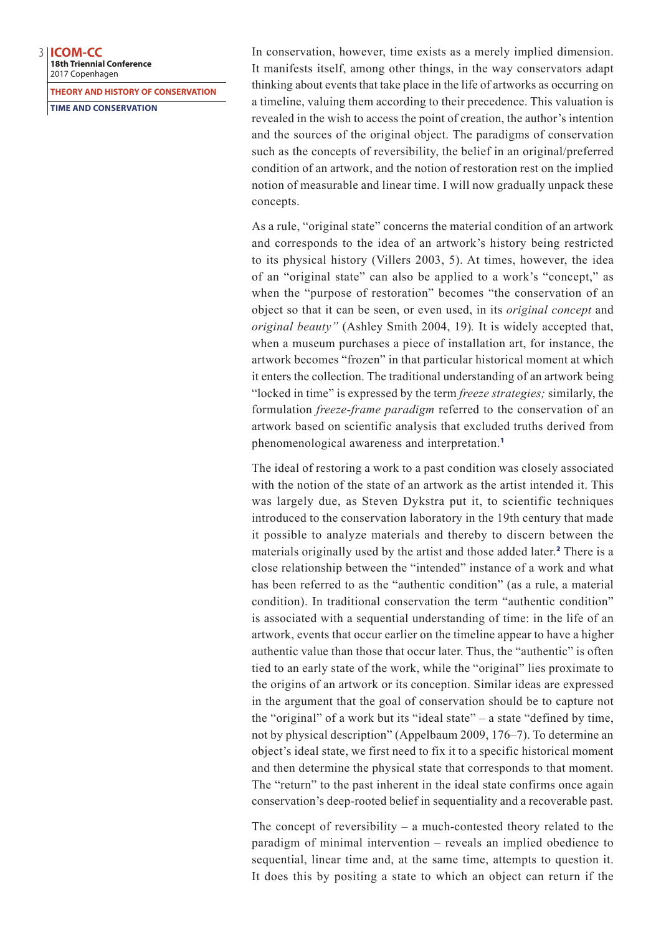**18th Triennial Conference** 2017 Copenhagen

**THEORY AND HISTORY OF CONSERVATION**

**TIME AND CONSERVATION**

In conservation, however, time exists as a merely implied dimension. It manifests itself, among other things, in the way conservators adapt thinking about events that take place in the life of artworks as occurring on a timeline, valuing them according to their precedence. This valuation is revealed in the wish to access the point of creation, the author's intention and the sources of the original object. The paradigms of conservation such as the concepts of reversibility, the belief in an original/preferred condition of an artwork, and the notion of restoration rest on the implied notion of measurable and linear time. I will now gradually unpack these concepts.

As a rule, "original state" concerns the material condition of an artwork and corresponds to the idea of an artwork's history being restricted to its physical history (Villers 2003, 5). At times, however, the idea of an "original state" can also be applied to a work's "concept," as when the "purpose of restoration" becomes "the conservation of an object so that it can be seen, or even used, in its *original concept* and *original beauty"* (Ashley Smith 2004, 19) *.* It is widely accepted that, when a museum purchases a piece of installation art, for instance, the artwork becomes "frozen" in that particular historical moment at which it enters the collection. The traditional understanding of an artwork being "locked in time" is expressed by the term *freeze strategies;* similarly, the formulation *freeze-frame paradigm* referred to the conservation of an artwork based on scientific analysis that excluded truths derived from phenomenological awareness and interpretation. 1

The ideal of restoring a work to a past condition was closely associated with the notion of the state of an artwork as the artist intended it. This was largely due, as Steven Dykstra put it, to scientific techniques introduced to the conservation laboratory in the 19th century that made it possible to analyze materials and thereby to discern between the materials originally used by the artist and those added later. <sup>2</sup> There is a close relationship between the "intended" instance of a work and what has been referred to as the "authentic condition" (as a rule, a material condition). In traditional conservation the term "authentic condition" is associated with a sequential understanding of time: in the life of an artwork, events that occur earlier on the timeline appear to have a higher authentic value than those that occur later. Thus, the "authentic" is often tied to an early state of the work, while the "original" lies proximate to the origins of an artwork or its conception. Similar ideas are expressed in the argument that the goal of conservation should be to capture not the "original" of a work but its "ideal state" – a state "defined by time, not by physical description" (Appelbaum 2009, 176–7). To determine an object's ideal state, we first need to fix it to a specific historical moment and then determine the physical state that corresponds to that moment. The "return" to the past inherent in the ideal state confirms once again conservation's deep-rooted belief in sequentiality and a recoverable past.

The concept of reversibility – a much-contested theory related to the paradigm of minimal intervention – reveals an implied obedience to sequential, linear time and, at the same time, attempts to question it. It does this by positing a state to which an object can return if the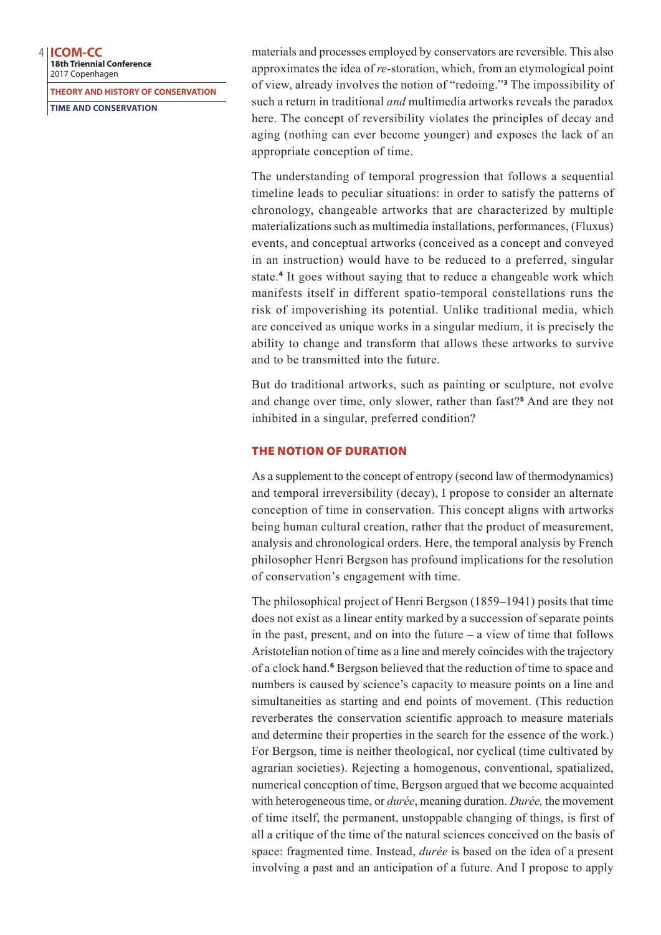**18th Triennial Conference** 2017 Copenhagen

**THEORY AND HISTORY OF CONSERVATION**

**TIME AND CONSERVATION**

materials and processes employed by conservators are reversible. This also approximates the idea of *re-*storation, which, from an etymological point of view, already involves the notion of "redoing."<sup>3</sup> The impossibility of such a return in traditional *and* multimedia artworks reveals the paradox here. The concept of reversibility violates the principles of decay and aging (nothing can ever become younger) and exposes the lack of an appropriate conception of time.

The understanding of temporal progression that follows a sequential timeline leads to peculiar situations: in order to satisfy the patterns of chronology, changeable artworks that are characterized by multiple materializations such as multimedia installations, performances, (Fluxus) events, and conceptual artworks (conceived as a concept and conveyed in an instruction) would have to be reduced to a preferred, singular state.<sup>4</sup> It goes without saying that to reduce a changeable work which manifests itself in different spatio-temporal constellations runs the risk of impoverishing its potential. Unlike traditional media, which are conceived as unique works in a singular medium, it is precisely the ability to change and transform that allows these artworks to survive and to be transmitted into the future.

But do traditional artworks, such as painting or sculpture, not evolve and change over time, only slower, rather than fast?<sup>5</sup> And are they not inhibited in a singular, preferred condition?

### THE NOTION OF DURATION

As a supplement to the concept of entropy (second law of thermodynamics) and temporal irreversibility (decay), I propose to consider an alternate conception of time in conservation. This concept aligns with artworks being human cultural creation, rather that the product of measurement, analysis and chronological orders. Here, the temporal analysis by French philosopher Henri Bergson has profound implications for the resolution of conservation's engagement with time.

The philosophical project of Henri Bergson (1859–1941) posits that time does not exist as a linear entity marked by a succession of separate points in the past, present, and on into the future  $-$  a view of time that follows Aristotelian notion of time as a line and merely coincides with the trajectory of a clock hand.<sup>6</sup> Bergson believed that the reduction of time to space and numbers is caused by science's capacity to measure points on a line and simultaneities as starting and end points of movement. (This reduction reverberates the conservation scientific approach to measure materials and determine their properties in the search for the essence of the work.) For Bergson, time is neither theological, nor cyclical (time cultivated by agrarian societies). Rejecting a homogenous, conventional, spatialized, numerical conception of time, Bergson argued that we become acquainted with heterogeneous time, or *durée*, meaning duration. *Durée,* the movement of time itself, the permanent, unstoppable changing of things, is first of all a critique of the time of the natural sciences conceived on the basis of space: fragmented time. Instead, *durée* is based on the idea of a present involving a past and an anticipation of a future. And I propose to apply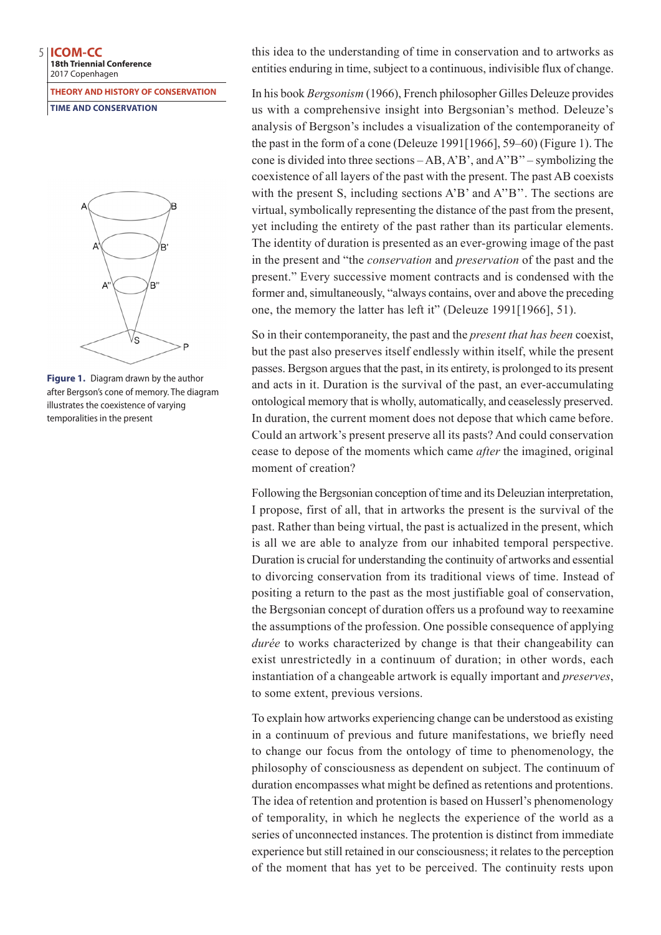**18th Triennial Conference** 2017 Copenhagen

**THEORY AND HISTORY OF CONSERVATION**

**TIME AND CONSERVATION**



**Figure 1.** Diagram drawn by the author after Bergson's cone of memory. The diagram illustrates the coexistence of varying temporalities in the present

this idea to the understanding of time in conservation and to artworks as entities enduring in time, subject to a continuous, indivisible flux of change.

In his book *Bergsonism* (1966), French philosopher Gilles Deleuze provides us with a comprehensive insight into Bergsonian's method. Deleuze's analysis of Bergson's includes a visualization of the contemporaneity of the past in the form of a cone (Deleuze 1991[1966], 59–60) (Figure 1). The cone is divided into three sections – AB, A'B', and A''B'' – symbolizing the coexistence of all layers of the past with the present. The past AB coexists with the present S, including sections A'B' and A''B''. The sections are virtual, symbolically representing the distance of the past from the present, yet including the entirety of the past rather than its particular elements. The identity of duration is presented as an ever-growing image of the past in the present and "the *conservation* and *preservation* of the past and the present." Every successive moment contracts and is condensed with the former and, simultaneously, "always contains, over and above the preceding one, the memory the latter has left it" (Deleuze 1991[1966], 51).

So in their contemporaneity, the past and the *present that has been* coexist, but the past also preserves itself endlessly within itself, while the present passes. Bergson argues that the past, in its entirety, is prolonged to its present and acts in it. Duration is the survival of the past, an ever-accumulating ontological memory that is wholly, automatically, and ceaselessly preserved. In duration, the current moment does not depose that which came before. Could an artwork's present preserve all its pasts? And could conservation cease to depose of the moments which came *after* the imagined, original moment of creation?

Following the Bergsonian conception of time and its Deleuzian interpretation, I propose, first of all, that in artworks the present is the survival of the past. Rather than being virtual, the past is actualized in the present, which is all we are able to analyze from our inhabited temporal perspective. Duration is crucial for understanding the continuity of artworks and essential to divorcing conservation from its traditional views of time. Instead of positing a return to the past as the most justifiable goal of conservation, the Bergsonian concept of duration offers us a profound way to reexamine the assumptions of the profession. One possible consequence of applying *durée* to works characterized by change is that their changeability can exist unrestrictedly in a continuum of duration; in other words, each instantiation of a changeable artwork is equally important and *preserves*, to some extent, previous versions.

To explain how artworks experiencing change can be understood as existing in a continuum of previous and future manifestations, we briefly need to change our focus from the ontology of time to phenomenology, the philosophy of consciousness as dependent on subject. The continuum of duration encompasses what might be defined as retentions and protentions. The idea of retention and protention is based on Husserl's phenomenology of temporality, in which he neglects the experience of the world as a series of unconnected instances. The protention is distinct from immediate experience but still retained in our consciousness; it relates to the perception of the moment that has yet to be perceived. The continuity rests upon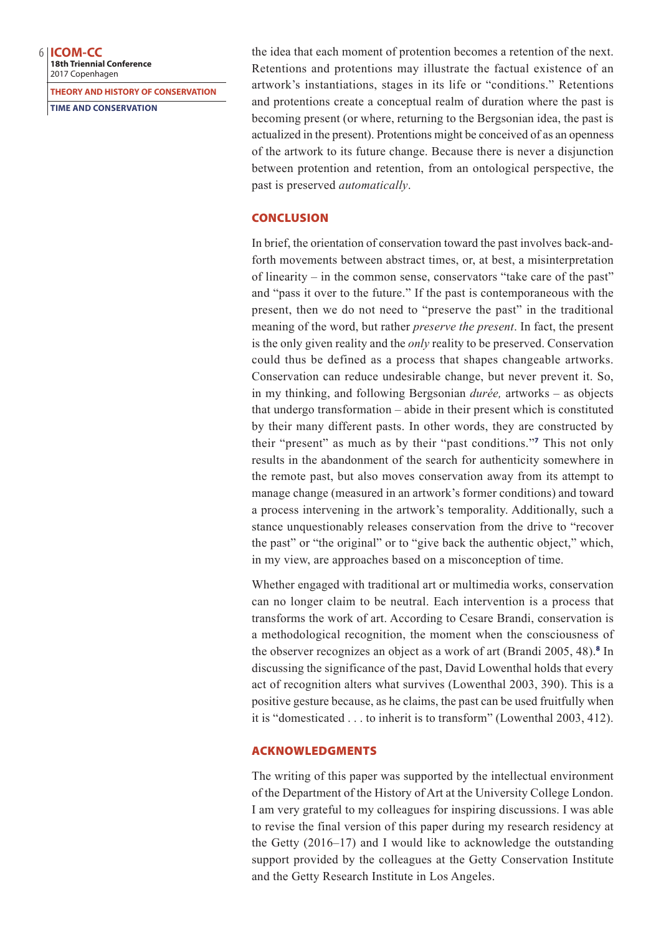**18th Triennial Conference** 2017 Copenhagen

**THEORY AND HISTORY OF CONSERVATION**

**TIME AND CONSERVATION**

the idea that each moment of protention becomes a retention of the next. Retentions and protentions may illustrate the factual existence of an artwork's instantiations, stages in its life or "conditions." Retentions and protentions create a conceptual realm of duration where the past is becoming present (or where, returning to the Bergsonian idea, the past is actualized in the present). Protentions might be conceived of as an openness of the artwork to its future change. Because there is never a disjunction between protention and retention, from an ontological perspective, the past is preserved *automatically*.

### **CONCLUSION**

In brief, the orientation of conservation toward the past involves back-andforth movements between abstract times, or, at best, a misinterpretation of linearity – in the common sense, conservators "take care of the past" and "pass it over to the future." If the past is contemporaneous with the present, then we do not need to "preserve the past" in the traditional meaning of the word, but rather *preserve the present*. In fact, the present is the only given reality and the *only* reality to be preserved. Conservation could thus be defined as a process that shapes changeable artworks. Conservation can reduce undesirable change, but never prevent it. So, in my thinking, and following Bergsonian *durée,* artworks – as objects that undergo transformation – abide in their present which is constituted by their many different pasts. In other words, they are constructed by their "present" as much as by their "past conditions."<sup>7</sup> This not only results in the abandonment of the search for authenticity somewhere in the remote past, but also moves conservation away from its attempt to manage change (measured in an artwork's former conditions) and toward a process intervening in the artwork's temporality. Additionally, such a stance unquestionably releases conservation from the drive to "recover the past" or "the original" or to "give back the authentic object," which, in my view, are approaches based on a misconception of time.

Whether engaged with traditional art or multimedia works, conservation can no longer claim to be neutral. Each intervention is a process that transforms the work of art. According to Cesare Brandi, conservation is a methodological recognition, the moment when the consciousness of the observer recognizes an object as a work of art (Brandi 2005, 48).<sup>8</sup> In discussing the significance of the past, David Lowenthal holds that every act of recognition alters what survives (Lowenthal 2003, 390). This is a positive gesture because, as he claims, the past can be used fruitfully when it is "domesticated . . . to inherit is to transform" (Lowenthal 2003, 412).

### ACKNOWLEDGMENTS

The writing of this paper was supported by the intellectual environment of the Department of the History of Art at the University College London. I am very grateful to my colleagues for inspiring discussions. I was able to revise the final version of this paper during my research residency at the Getty (2016–17) and I would like to acknowledge the outstanding support provided by the colleagues at the Getty Conservation Institute and the Getty Research Institute in Los Angeles.